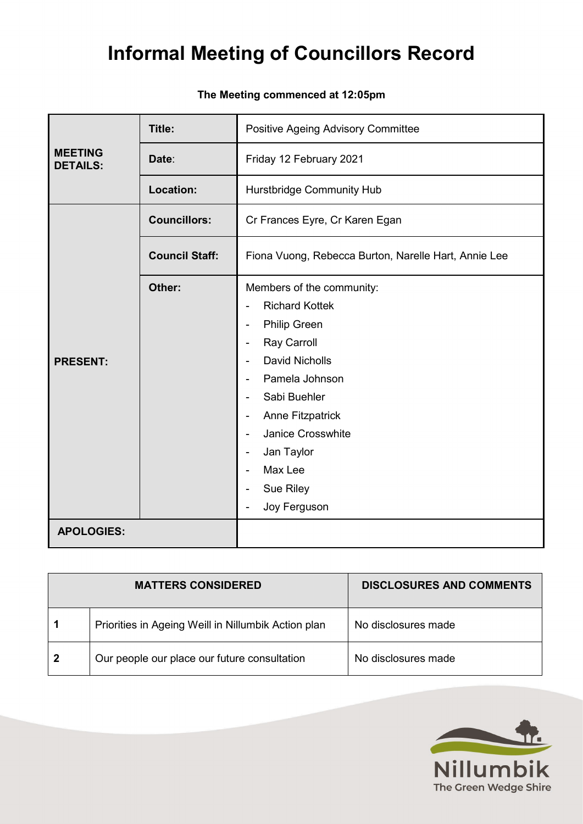### **The Meeting commenced at 12:05pm**

| <b>MEETING</b><br>Date:<br>Friday 12 February 2021<br><b>DETAILS:</b><br>Location:<br><b>Hurstbridge Community Hub</b><br><b>Councillors:</b><br>Cr Frances Eyre, Cr Karen Egan<br><b>Council Staff:</b><br>Fiona Vuong, Rebecca Burton, Narelle Hart, Annie Lee                  |
|-----------------------------------------------------------------------------------------------------------------------------------------------------------------------------------------------------------------------------------------------------------------------------------|
|                                                                                                                                                                                                                                                                                   |
|                                                                                                                                                                                                                                                                                   |
|                                                                                                                                                                                                                                                                                   |
|                                                                                                                                                                                                                                                                                   |
| Other:<br>Members of the community:<br><b>Richard Kottek</b><br><b>Philip Green</b><br>Ξ.<br>Ray Carroll<br><b>David Nicholls</b><br><b>PRESENT:</b><br>Pamela Johnson<br>Sabi Buehler<br><b>Anne Fitzpatrick</b><br>Janice Crosswhite<br>Jan Taylor<br>۰<br>Max Lee<br>Sue Riley |
| Joy Ferguson<br><b>APOLOGIES:</b>                                                                                                                                                                                                                                                 |

|              | <b>MATTERS CONSIDERED</b>                           | <b>DISCLOSURES AND COMMENTS</b> |
|--------------|-----------------------------------------------------|---------------------------------|
|              | Priorities in Ageing Weill in Nillumbik Action plan | No disclosures made             |
| $\mathbf{2}$ | Our people our place our future consultation        | No disclosures made             |

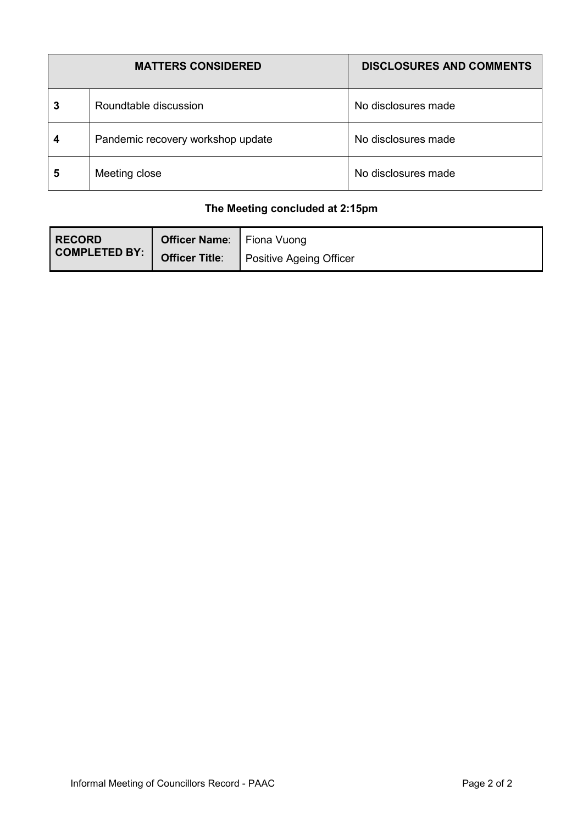| <b>MATTERS CONSIDERED</b> |                                   | <b>DISCLOSURES AND COMMENTS</b> |  |
|---------------------------|-----------------------------------|---------------------------------|--|
| 3                         | Roundtable discussion             | No disclosures made             |  |
| 4                         | Pandemic recovery workshop update | No disclosures made             |  |
| 5                         | Meeting close                     | No disclosures made             |  |

### **The Meeting concluded at 2:15pm**

| <b>RECORD</b>        | <b>Officer Name:</b> Fiona Vuong |                                |
|----------------------|----------------------------------|--------------------------------|
| <b>COMPLETED BY:</b> | <b>Officer Title:</b>            | <b>Positive Ageing Officer</b> |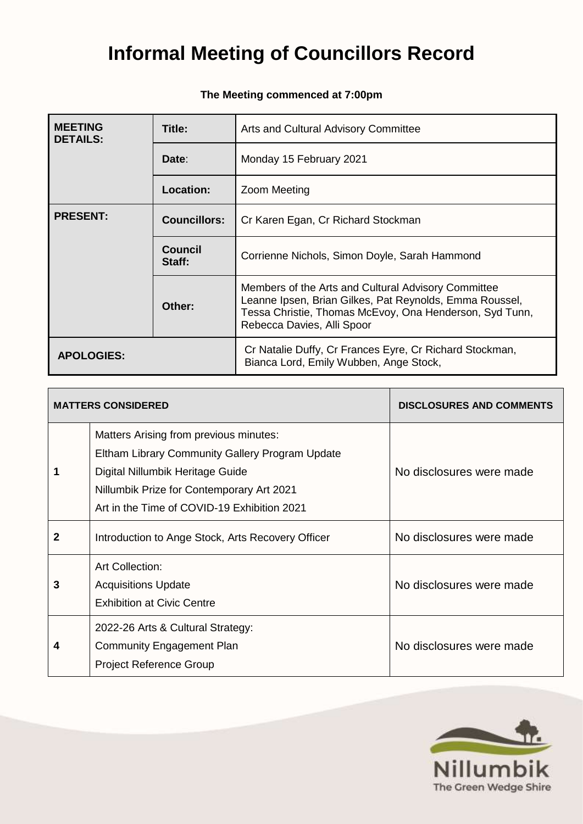| <b>MEETING</b><br><b>DETAILS:</b> | Title:                                                                                            | Arts and Cultural Advisory Committee                                                                                                                                                                    |  |
|-----------------------------------|---------------------------------------------------------------------------------------------------|---------------------------------------------------------------------------------------------------------------------------------------------------------------------------------------------------------|--|
|                                   | Date:                                                                                             | Monday 15 February 2021                                                                                                                                                                                 |  |
|                                   | <b>Location:</b>                                                                                  | Zoom Meeting                                                                                                                                                                                            |  |
| <b>PRESENT:</b>                   | <b>Councillors:</b>                                                                               | Cr Karen Egan, Cr Richard Stockman                                                                                                                                                                      |  |
|                                   | <b>Council</b><br>Staff:                                                                          | Corrienne Nichols, Simon Doyle, Sarah Hammond                                                                                                                                                           |  |
|                                   | Other:                                                                                            | Members of the Arts and Cultural Advisory Committee<br>Leanne Ipsen, Brian Gilkes, Pat Reynolds, Emma Roussel,<br>Tessa Christie, Thomas McEvoy, Ona Henderson, Syd Tunn,<br>Rebecca Davies, Alli Spoor |  |
| <b>APOLOGIES:</b>                 | Cr Natalie Duffy, Cr Frances Eyre, Cr Richard Stockman,<br>Bianca Lord, Emily Wubben, Ange Stock, |                                                                                                                                                                                                         |  |

### **The Meeting commenced at 7:00pm**

|   | <b>MATTERS CONSIDERED</b>                                                                                                                                                                                                 | <b>DISCLOSURES AND COMMENTS</b> |
|---|---------------------------------------------------------------------------------------------------------------------------------------------------------------------------------------------------------------------------|---------------------------------|
|   | Matters Arising from previous minutes:<br>Eltham Library Community Gallery Program Update<br>Digital Nillumbik Heritage Guide<br>Nillumbik Prize for Contemporary Art 2021<br>Art in the Time of COVID-19 Exhibition 2021 | No disclosures were made        |
| 2 | Introduction to Ange Stock, Arts Recovery Officer                                                                                                                                                                         | No disclosures were made        |
| 3 | <b>Art Collection:</b><br><b>Acquisitions Update</b><br><b>Exhibition at Civic Centre</b>                                                                                                                                 | No disclosures were made        |
| 4 | 2022-26 Arts & Cultural Strategy:<br>Community Engagement Plan<br><b>Project Reference Group</b>                                                                                                                          | No disclosures were made        |

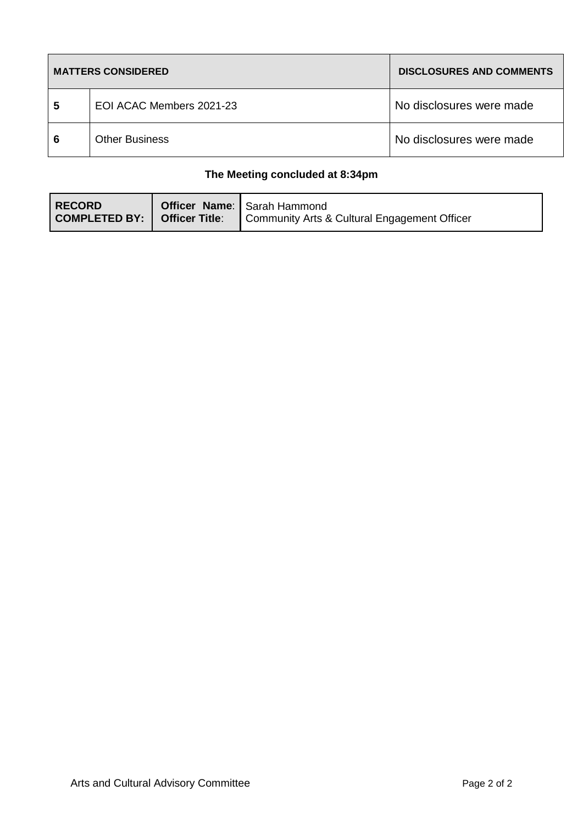|   | <b>MATTERS CONSIDERED</b> | <b>DISCLOSURES AND COMMENTS</b> |
|---|---------------------------|---------------------------------|
| 5 | EOI ACAC Members 2021-23  | No disclosures were made        |
| 6 | <b>Other Business</b>     | No disclosures were made        |

### **The Meeting concluded at 8:34pm**

| l RECORD<br>  COMPLETED BY:   Officer Title: | <b>Officer Name:</b> Sarah Hammond<br>Community Arts & Cultural Engagement Officer |
|----------------------------------------------|------------------------------------------------------------------------------------|
|                                              |                                                                                    |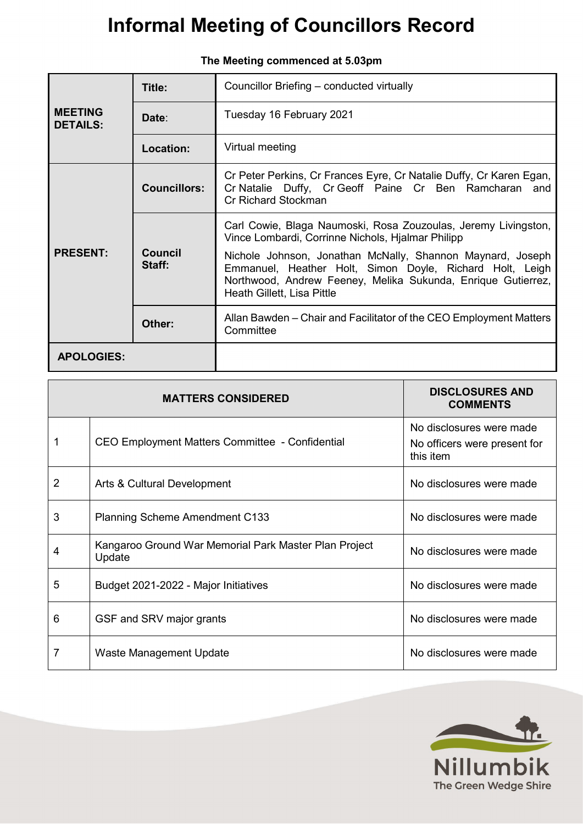| Title:<br><b>MEETING</b><br>Date:<br><b>DETAILS:</b> |                     | Councillor Briefing – conducted virtually                                                                                                                                                                            |  |  |
|------------------------------------------------------|---------------------|----------------------------------------------------------------------------------------------------------------------------------------------------------------------------------------------------------------------|--|--|
|                                                      |                     | Tuesday 16 February 2021                                                                                                                                                                                             |  |  |
|                                                      | <b>Location:</b>    | Virtual meeting                                                                                                                                                                                                      |  |  |
|                                                      | <b>Councillors:</b> | Cr Peter Perkins, Cr Frances Eyre, Cr Natalie Duffy, Cr Karen Egan,<br>Cr Natalie Duffy, Cr Geoff Paine Cr Ben Ramcharan and<br>Cr Richard Stockman                                                                  |  |  |
|                                                      |                     | Carl Cowie, Blaga Naumoski, Rosa Zouzoulas, Jeremy Livingston,<br>Vince Lombardi, Corrinne Nichols, Hialmar Philipp                                                                                                  |  |  |
| <b>PRESENT:</b><br>Council<br>Staff:                 |                     | Nichole Johnson, Jonathan McNally, Shannon Maynard, Joseph<br>Emmanuel, Heather Holt, Simon Doyle, Richard Holt, Leigh<br>Northwood, Andrew Feeney, Melika Sukunda, Enrique Gutierrez,<br>Heath Gillett, Lisa Pittle |  |  |
|                                                      | Other:              | Allan Bawden - Chair and Facilitator of the CEO Employment Matters<br>Committee                                                                                                                                      |  |  |
| <b>APOLOGIES:</b>                                    |                     |                                                                                                                                                                                                                      |  |  |

|  |  |  |  | Informal Meeting of Councillors Record |  |  |  |
|--|--|--|--|----------------------------------------|--|--|--|
|--|--|--|--|----------------------------------------|--|--|--|

|                | <b>MATTERS CONSIDERED</b>                                       | <b>DISCLOSURES AND</b><br><b>COMMENTS</b>                             |
|----------------|-----------------------------------------------------------------|-----------------------------------------------------------------------|
|                | CEO Employment Matters Committee - Confidential                 | No disclosures were made<br>No officers were present for<br>this item |
| $\overline{2}$ | Arts & Cultural Development                                     | No disclosures were made                                              |
| 3              | <b>Planning Scheme Amendment C133</b>                           | No disclosures were made                                              |
| 4              | Kangaroo Ground War Memorial Park Master Plan Project<br>Update | No disclosures were made                                              |
| 5              | Budget 2021-2022 - Major Initiatives                            | No disclosures were made                                              |
| 6              | GSF and SRV major grants                                        | No disclosures were made                                              |
| 7              | Waste Management Update                                         | No disclosures were made                                              |



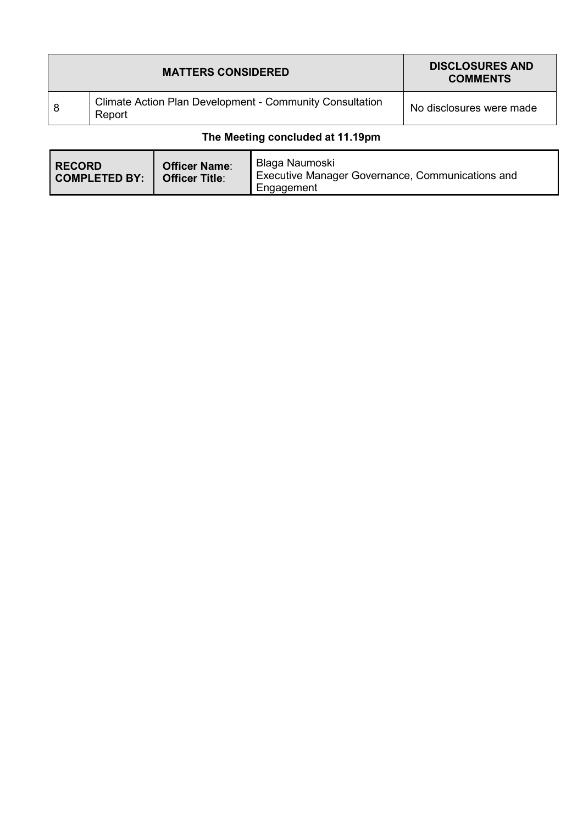|   | <b>MATTERS CONSIDERED</b>                                                 | <b>DISCLOSURES AND</b><br><b>COMMENTS</b> |
|---|---------------------------------------------------------------------------|-------------------------------------------|
| 8 | <b>Climate Action Plan Development - Community Consultation</b><br>Report | No disclosures were made                  |

### **The Meeting concluded at 11.19pm**

| <b>RECORD</b><br><b>COMPLETED BY:</b> | <b>Officer Name:</b><br><b>Officer Title:</b> | Blaga Naumoski<br>Executive Manager Governance, Communications and<br>Engagement |
|---------------------------------------|-----------------------------------------------|----------------------------------------------------------------------------------|
|---------------------------------------|-----------------------------------------------|----------------------------------------------------------------------------------|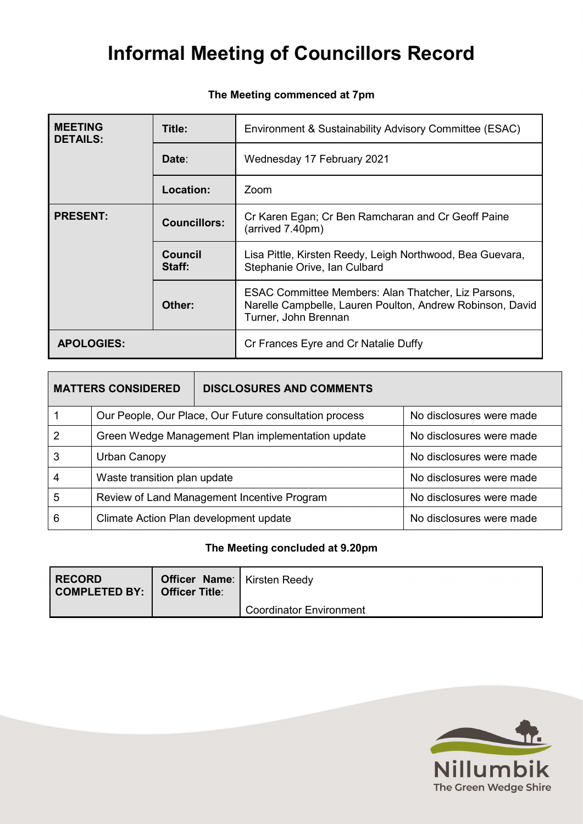#### **The Meeting commenced at 7pm**

| <b>MEETING</b><br><b>DETAILS:</b>      | Title:                   | Environment & Sustainability Advisory Committee (ESAC)                                                                                   |
|----------------------------------------|--------------------------|------------------------------------------------------------------------------------------------------------------------------------------|
|                                        | Date:                    | Wednesday 17 February 2021                                                                                                               |
|                                        | <b>Location:</b>         | Zoom                                                                                                                                     |
| <b>PRESENT:</b><br><b>Councillors:</b> |                          | Cr Karen Egan; Cr Ben Ramcharan and Cr Geoff Paine<br>(arrived 7.40pm)                                                                   |
|                                        | <b>Council</b><br>Staff: | Lisa Pittle, Kirsten Reedy, Leigh Northwood, Bea Guevara,<br>Stephanie Orive, Ian Culbard                                                |
|                                        | Other:                   | ESAC Committee Members: Alan Thatcher, Liz Parsons,<br>Narelle Campbelle, Lauren Poulton, Andrew Robinson, David<br>Turner, John Brennan |
| <b>APOLOGIES:</b>                      |                          | Cr Frances Eyre and Cr Natalie Duffy                                                                                                     |

| <b>MATTERS CONSIDERED</b> |                                                        | <b>DISCLOSURES AND COMMENTS</b> |                          |
|---------------------------|--------------------------------------------------------|---------------------------------|--------------------------|
|                           | Our People, Our Place, Our Future consultation process |                                 | No disclosures were made |
| 2                         | Green Wedge Management Plan implementation update      |                                 | No disclosures were made |
| 3                         | Urban Canopy                                           |                                 | No disclosures were made |
| 4                         | Waste transition plan update                           |                                 | No disclosures were made |
| 5                         | Review of Land Management Incentive Program            |                                 | No disclosures were made |
| 6                         | Climate Action Plan development update                 |                                 | No disclosures were made |

### **The Meeting concluded at 9.20pm**

| <b>RECORD</b><br>  COMPLETED BY:   Officer Title: | <b>Officer Name:</b>   Kirsten Reedy |                                |
|---------------------------------------------------|--------------------------------------|--------------------------------|
|                                                   |                                      | <b>Coordinator Environment</b> |

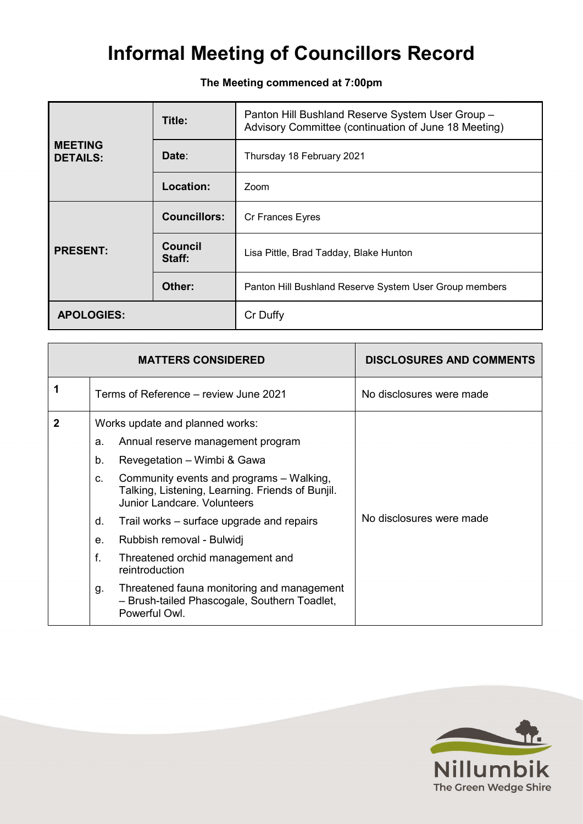**The Meeting commenced at 7:00pm**

|                                   | Title:                   | Panton Hill Bushland Reserve System User Group -<br>Advisory Committee (continuation of June 18 Meeting) |  |
|-----------------------------------|--------------------------|----------------------------------------------------------------------------------------------------------|--|
| <b>MEETING</b><br><b>DETAILS:</b> | Date:                    | Thursday 18 February 2021                                                                                |  |
|                                   | Location:                | Zoom                                                                                                     |  |
|                                   | <b>Councillors:</b>      | Cr Frances Eyres                                                                                         |  |
| <b>PRESENT:</b>                   | <b>Council</b><br>Staff: | Lisa Pittle, Brad Tadday, Blake Hunton                                                                   |  |
|                                   | Other:                   | Panton Hill Bushland Reserve System User Group members                                                   |  |
| <b>APOLOGIES:</b>                 |                          | Cr Duffy                                                                                                 |  |

|   | <b>MATTERS CONSIDERED</b>                                                                                                                                                                                                                                                                                                                                                                                                                                                                                                               | <b>DISCLOSURES AND COMMENTS</b> |
|---|-----------------------------------------------------------------------------------------------------------------------------------------------------------------------------------------------------------------------------------------------------------------------------------------------------------------------------------------------------------------------------------------------------------------------------------------------------------------------------------------------------------------------------------------|---------------------------------|
|   | Terms of Reference - review June 2021                                                                                                                                                                                                                                                                                                                                                                                                                                                                                                   | No disclosures were made        |
| 2 | Works update and planned works:<br>Annual reserve management program<br>а.<br>Revegetation – Wimbi & Gawa<br>b.<br>Community events and programs - Walking,<br>C.<br>Talking, Listening, Learning. Friends of Bunjil.<br>Junior Landcare, Volunteers<br>Trail works – surface upgrade and repairs<br>d.<br>Rubbish removal - Bulwidj<br>e <sub>1</sub><br>f.<br>Threatened orchid management and<br>reintroduction<br>Threatened fauna monitoring and management<br>g.<br>- Brush-tailed Phascogale, Southern Toadlet,<br>Powerful Owl. | No disclosures were made        |

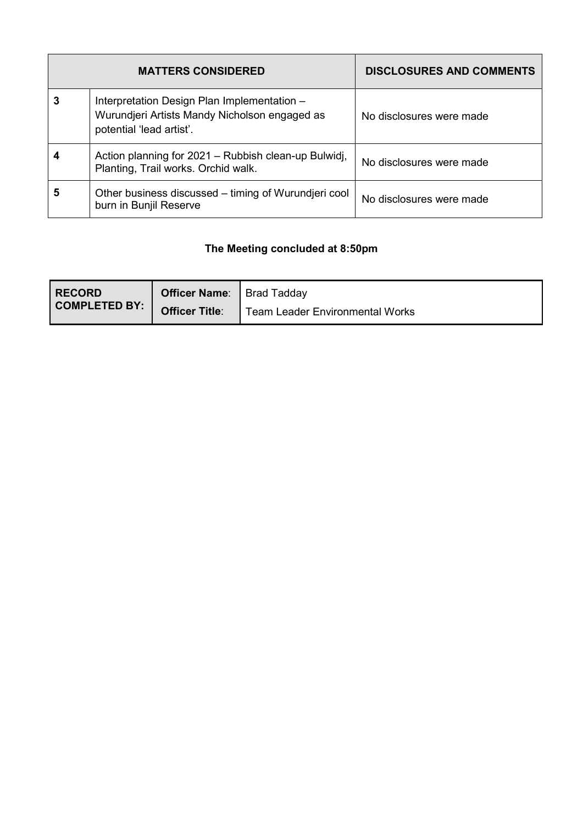|   | <b>MATTERS CONSIDERED</b>                                                                                                | <b>DISCLOSURES AND COMMENTS</b> |
|---|--------------------------------------------------------------------------------------------------------------------------|---------------------------------|
| 3 | Interpretation Design Plan Implementation -<br>Wurundjeri Artists Mandy Nicholson engaged as<br>potential 'lead artist'. | No disclosures were made        |
|   | Action planning for 2021 – Rubbish clean-up Bulwidj,<br>Planting, Trail works. Orchid walk.                              | No disclosures were made        |
| 5 | Other business discussed – timing of Wurundjeri cool<br>burn in Bunjil Reserve                                           | No disclosures were made        |

### **The Meeting concluded at 8:50pm**

| <b>RECORD</b> | <b>Officer Name:</b>  | Brad Tadday                            |
|---------------|-----------------------|----------------------------------------|
| COMPLETED BY: | <b>Officer Title:</b> | <b>Team Leader Environmental Works</b> |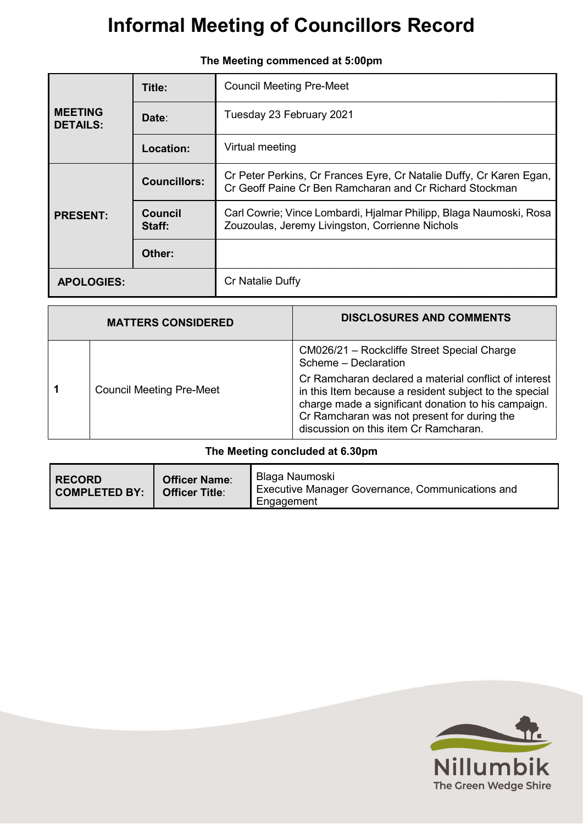|                                   | Title:              | <b>Council Meeting Pre-Meet</b>                                                                                                |
|-----------------------------------|---------------------|--------------------------------------------------------------------------------------------------------------------------------|
| <b>MEETING</b><br><b>DETAILS:</b> | Date:               | Tuesday 23 February 2021                                                                                                       |
|                                   | <b>Location:</b>    | Virtual meeting                                                                                                                |
|                                   | <b>Councillors:</b> | Cr Peter Perkins, Cr Frances Eyre, Cr Natalie Duffy, Cr Karen Egan,<br>Cr Geoff Paine Cr Ben Ramcharan and Cr Richard Stockman |
| <b>PRESENT:</b>                   | Council<br>Staff:   | Carl Cowrie; Vince Lombardi, Hjalmar Philipp, Blaga Naumoski, Rosa<br>Zouzoulas, Jeremy Livingston, Corrienne Nichols          |
|                                   | Other:              |                                                                                                                                |
| <b>APOLOGIES:</b>                 |                     | Cr Natalie Duffy                                                                                                               |

| The Meeting commenced at 5:00pm |
|---------------------------------|

| <b>MATTERS CONSIDERED</b> |                                 | <b>DISCLOSURES AND COMMENTS</b>                                                                                                                                                                                                                                |
|---------------------------|---------------------------------|----------------------------------------------------------------------------------------------------------------------------------------------------------------------------------------------------------------------------------------------------------------|
|                           |                                 | CM026/21 - Rockcliffe Street Special Charge<br>Scheme - Declaration                                                                                                                                                                                            |
|                           | <b>Council Meeting Pre-Meet</b> | Cr Ramcharan declared a material conflict of interest<br>in this Item because a resident subject to the special<br>charge made a significant donation to his campaign.<br>Cr Ramcharan was not present for during the<br>discussion on this item Cr Ramcharan. |

### **The Meeting concluded at 6.30pm**

| <b>RECORD</b><br><b>COMPLETED BY:</b> | <b>Officer Name:</b><br><b>Officer Title:</b> | Blaga Naumoski<br>Executive Manager Governance, Communications and<br>Engagement |
|---------------------------------------|-----------------------------------------------|----------------------------------------------------------------------------------|
|---------------------------------------|-----------------------------------------------|----------------------------------------------------------------------------------|

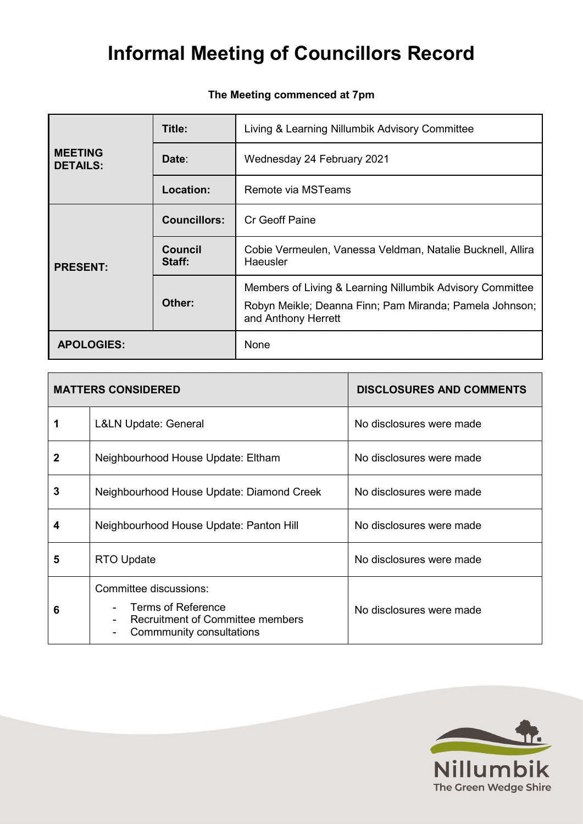### **The Meeting commenced at 7pm**

|                                   | Title:              | Living & Learning Nillumbik Advisory Committee                                                                                              |  |
|-----------------------------------|---------------------|---------------------------------------------------------------------------------------------------------------------------------------------|--|
| <b>MEETING</b><br><b>DETAILS:</b> | Date:               | Wednesday 24 February 2021                                                                                                                  |  |
|                                   | Location:           | Remote via MSTeams                                                                                                                          |  |
| <b>PRESENT:</b>                   | <b>Councillors:</b> | Cr Geoff Paine                                                                                                                              |  |
|                                   | Council<br>Staff:   | Cobie Vermeulen, Vanessa Veldman, Natalie Bucknell, Allira<br>Haeusler                                                                      |  |
|                                   | Other:              | Members of Living & Learning Nillumbik Advisory Committee<br>Robyn Meikle; Deanna Finn; Pam Miranda; Pamela Johnson;<br>and Anthony Herrett |  |
| <b>APOLOGIES:</b>                 |                     | None                                                                                                                                        |  |

|   | <b>MATTERS CONSIDERED</b>                                                                                                  | <b>DISCLOSURES AND COMMENTS</b> |
|---|----------------------------------------------------------------------------------------------------------------------------|---------------------------------|
|   | <b>L&amp;LN Update: General</b>                                                                                            | No disclosures were made        |
| 2 | Neighbourhood House Update: Eltham                                                                                         | No disclosures were made        |
| 3 | Neighbourhood House Update: Diamond Creek                                                                                  | No disclosures were made        |
| 4 | Neighbourhood House Update: Panton Hill                                                                                    | No disclosures were made        |
| 5 | <b>RTO Update</b>                                                                                                          | No disclosures were made        |
| 6 | Committee discussions:<br><b>Terms of Reference</b><br><b>Recruitment of Committee members</b><br>Commmunity consultations | No disclosures were made        |

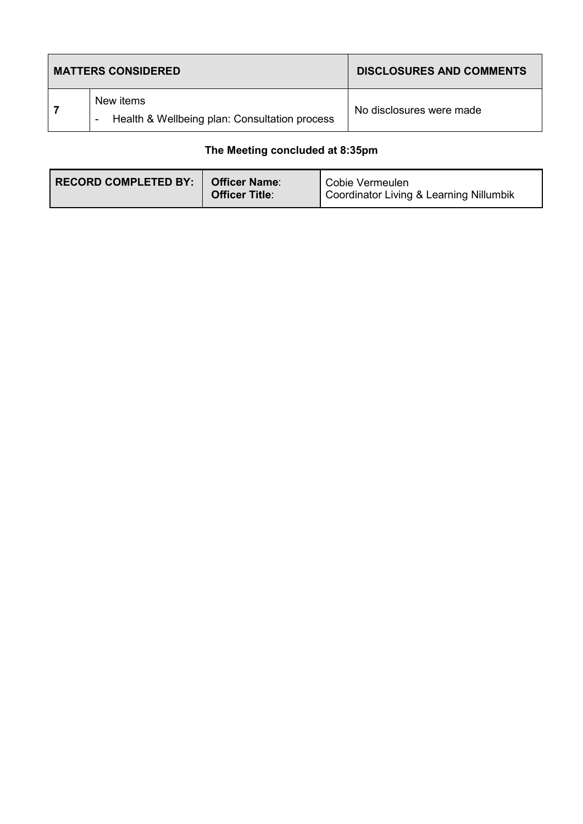| <b>MATTERS CONSIDERED</b> |                                                                      | <b>DISCLOSURES AND COMMENTS</b> |
|---------------------------|----------------------------------------------------------------------|---------------------------------|
|                           | New items<br>Health & Wellbeing plan: Consultation process<br>$\sim$ | No disclosures were made        |

### **The Meeting concluded at 8:35pm**

| <b>RECORD COMPLETED BY:</b> | <b>Officer Name:</b><br><b>Officer Title:</b> | Cobie Vermeulen<br>Coordinator Living & Learning Nillumbik |
|-----------------------------|-----------------------------------------------|------------------------------------------------------------|
|-----------------------------|-----------------------------------------------|------------------------------------------------------------|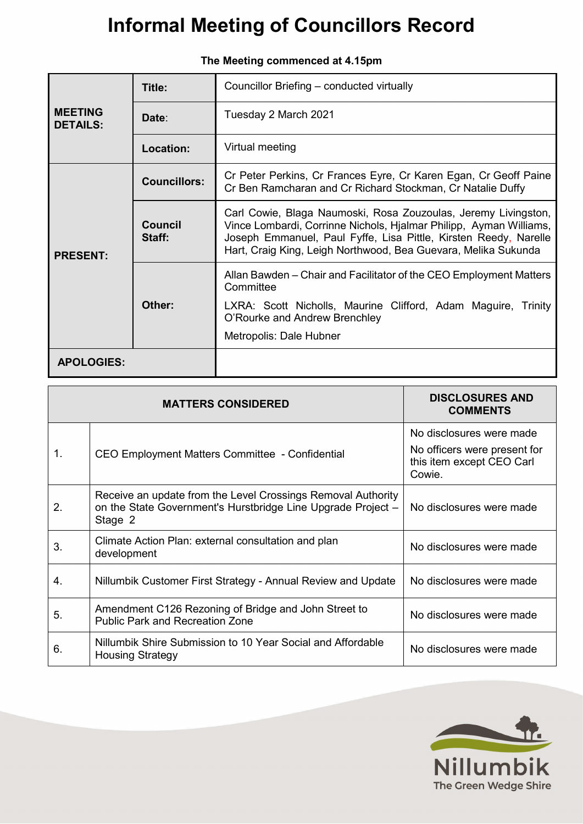|                                   | Title:              | Councillor Briefing - conducted virtually                                                                                                                                                                                                                                  |  |
|-----------------------------------|---------------------|----------------------------------------------------------------------------------------------------------------------------------------------------------------------------------------------------------------------------------------------------------------------------|--|
| <b>MEETING</b><br><b>DETAILS:</b> | Date:               | Tuesday 2 March 2021                                                                                                                                                                                                                                                       |  |
|                                   | Location:           | Virtual meeting                                                                                                                                                                                                                                                            |  |
|                                   | <b>Councillors:</b> | Cr Peter Perkins, Cr Frances Eyre, Cr Karen Egan, Cr Geoff Paine<br>Cr Ben Ramcharan and Cr Richard Stockman, Cr Natalie Duffy                                                                                                                                             |  |
| <b>PRESENT:</b>                   | Council<br>Staff:   | Carl Cowie, Blaga Naumoski, Rosa Zouzoulas, Jeremy Livingston,<br>Vince Lombardi, Corrinne Nichols, Hjalmar Philipp, Ayman Williams,<br>Joseph Emmanuel, Paul Fyffe, Lisa Pittle, Kirsten Reedy, Narelle<br>Hart, Craig King, Leigh Northwood, Bea Guevara, Melika Sukunda |  |
|                                   |                     | Allan Bawden – Chair and Facilitator of the CEO Employment Matters<br>Committee                                                                                                                                                                                            |  |
|                                   | Other:              | LXRA: Scott Nicholls, Maurine Clifford, Adam Maguire, Trinity<br>O'Rourke and Andrew Brenchley                                                                                                                                                                             |  |
|                                   |                     | Metropolis: Dale Hubner                                                                                                                                                                                                                                                    |  |
| <b>APOLOGIES:</b>                 |                     |                                                                                                                                                                                                                                                                            |  |

|  | The Meeting commenced at 4.15pm |  |
|--|---------------------------------|--|
|--|---------------------------------|--|

|    | <b>MATTERS CONSIDERED</b>                                                                                                               | <b>DISCLOSURES AND</b><br><b>COMMENTS</b>                                                       |
|----|-----------------------------------------------------------------------------------------------------------------------------------------|-------------------------------------------------------------------------------------------------|
| 1. | CEO Employment Matters Committee - Confidential                                                                                         | No disclosures were made<br>No officers were present for<br>this item except CEO Carl<br>Cowie. |
| 2. | Receive an update from the Level Crossings Removal Authority<br>on the State Government's Hurstbridge Line Upgrade Project -<br>Stage 2 | No disclosures were made                                                                        |
| 3. | Climate Action Plan: external consultation and plan<br>development                                                                      | No disclosures were made                                                                        |
| 4. | Nillumbik Customer First Strategy - Annual Review and Update                                                                            | No disclosures were made                                                                        |
| 5. | Amendment C126 Rezoning of Bridge and John Street to<br><b>Public Park and Recreation Zone</b>                                          | No disclosures were made                                                                        |
| 6. | Nillumbik Shire Submission to 10 Year Social and Affordable<br><b>Housing Strategy</b>                                                  | No disclosures were made                                                                        |

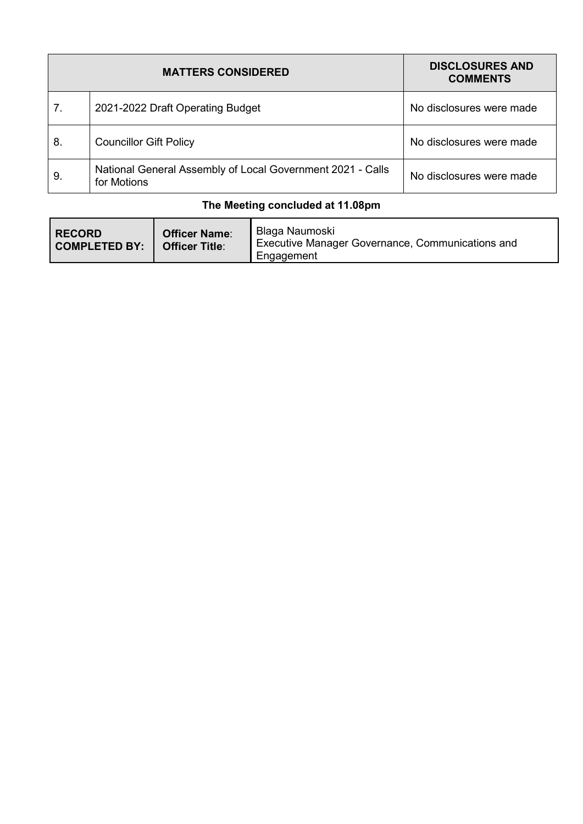|    | <b>MATTERS CONSIDERED</b>                                                 | <b>DISCLOSURES AND</b><br><b>COMMENTS</b> |
|----|---------------------------------------------------------------------------|-------------------------------------------|
| 7. | 2021-2022 Draft Operating Budget                                          | No disclosures were made                  |
| 8. | <b>Councillor Gift Policy</b>                                             | No disclosures were made                  |
| 9. | National General Assembly of Local Government 2021 - Calls<br>for Motions | No disclosures were made                  |

### **The Meeting concluded at 11.08pm**

| <b>RECORD</b><br><b>Officer Name:</b><br><b>COMPLETED BY:</b><br><b>Officer Title:</b> |  | Blaga Naumoski<br>Executive Manager Governance, Communications and<br>Engagement |
|----------------------------------------------------------------------------------------|--|----------------------------------------------------------------------------------|
|----------------------------------------------------------------------------------------|--|----------------------------------------------------------------------------------|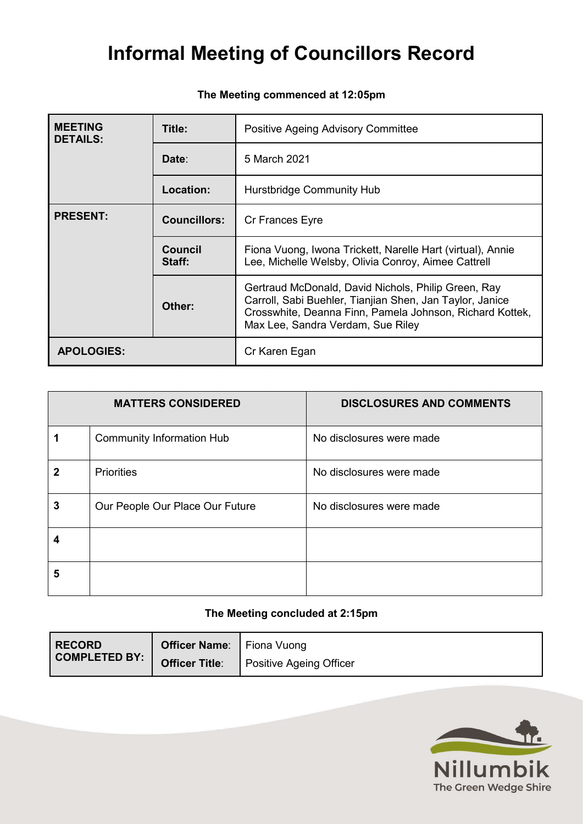| <b>MEETING</b><br><b>DETAILS:</b> | Title:                   | Positive Ageing Advisory Committee                                                                                                                                                                               |  |
|-----------------------------------|--------------------------|------------------------------------------------------------------------------------------------------------------------------------------------------------------------------------------------------------------|--|
|                                   | Date:                    | 5 March 2021                                                                                                                                                                                                     |  |
|                                   | Location:                | Hurstbridge Community Hub                                                                                                                                                                                        |  |
| <b>PRESENT:</b>                   | <b>Councillors:</b>      | Cr Frances Eyre                                                                                                                                                                                                  |  |
|                                   | <b>Council</b><br>Staff: | Fiona Vuong, Iwona Trickett, Narelle Hart (virtual), Annie<br>Lee, Michelle Welsby, Olivia Conroy, Aimee Cattrell                                                                                                |  |
|                                   | Other:                   | Gertraud McDonald, David Nichols, Philip Green, Ray<br>Carroll, Sabi Buehler, Tianjian Shen, Jan Taylor, Janice<br>Crosswhite, Deanna Finn, Pamela Johnson, Richard Kottek,<br>Max Lee, Sandra Verdam, Sue Riley |  |
| <b>APOLOGIES:</b>                 |                          | Cr Karen Egan                                                                                                                                                                                                    |  |

### **The Meeting commenced at 12:05pm**

|   | <b>MATTERS CONSIDERED</b>        | <b>DISCLOSURES AND COMMENTS</b> |
|---|----------------------------------|---------------------------------|
|   | <b>Community Information Hub</b> | No disclosures were made        |
| 2 | <b>Priorities</b>                | No disclosures were made        |
| 3 | Our People Our Place Our Future  | No disclosures were made        |
|   |                                  |                                 |
| 5 |                                  |                                 |

#### **The Meeting concluded at 2:15pm**

| <b>RECORD</b> | <b>Officer Name:</b> Fiona Vuong |                                |
|---------------|----------------------------------|--------------------------------|
| COMPLETED BY: | <b>Officer Title:</b>            | <b>Positive Ageing Officer</b> |